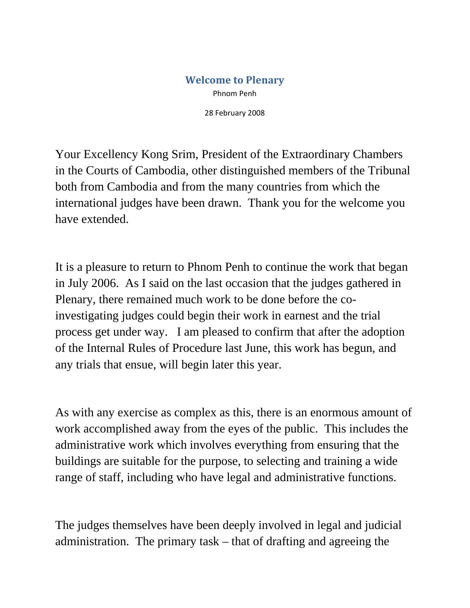## **Welcome to Plenary** Phnom Penh

28 February 2008

Your Excellency Kong Srim, President of the Extraordinary Chambers in the Courts of Cambodia, other distinguished members of the Tribunal both from Cambodia and from the many countries from which the international judges have been drawn. Thank you for the welcome you have extended.

It is a pleasure to return to Phnom Penh to continue the work that began in July 2006. As I said on the last occasion that the judges gathered in Plenary, there remained much work to be done before the coinvestigating judges could begin their work in earnest and the trial process get under way. I am pleased to confirm that after the adoption of the Internal Rules of Procedure last June, this work has begun, and any trials that ensue, will begin later this year.

As with any exercise as complex as this, there is an enormous amount of work accomplished away from the eyes of the public. This includes the administrative work which involves everything from ensuring that the buildings are suitable for the purpose, to selecting and training a wide range of staff, including who have legal and administrative functions.

The judges themselves have been deeply involved in legal and judicial administration. The primary task – that of drafting and agreeing the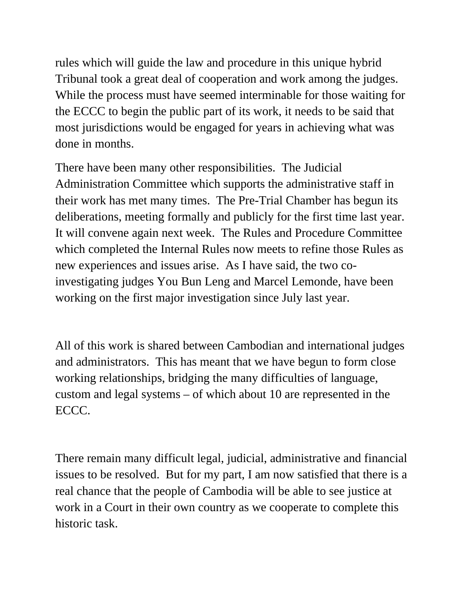rules which will guide the law and procedure in this unique hybrid Tribunal took a great deal of cooperation and work among the judges. While the process must have seemed interminable for those waiting for the ECCC to begin the public part of its work, it needs to be said that most jurisdictions would be engaged for years in achieving what was done in months.

There have been many other responsibilities. The Judicial Administration Committee which supports the administrative staff in their work has met many times. The Pre-Trial Chamber has begun its deliberations, meeting formally and publicly for the first time last year. It will convene again next week. The Rules and Procedure Committee which completed the Internal Rules now meets to refine those Rules as new experiences and issues arise. As I have said, the two coinvestigating judges You Bun Leng and Marcel Lemonde, have been working on the first major investigation since July last year.

All of this work is shared between Cambodian and international judges and administrators. This has meant that we have begun to form close working relationships, bridging the many difficulties of language, custom and legal systems – of which about 10 are represented in the ECCC.

There remain many difficult legal, judicial, administrative and financial issues to be resolved. But for my part, I am now satisfied that there is a real chance that the people of Cambodia will be able to see justice at work in a Court in their own country as we cooperate to complete this historic task.